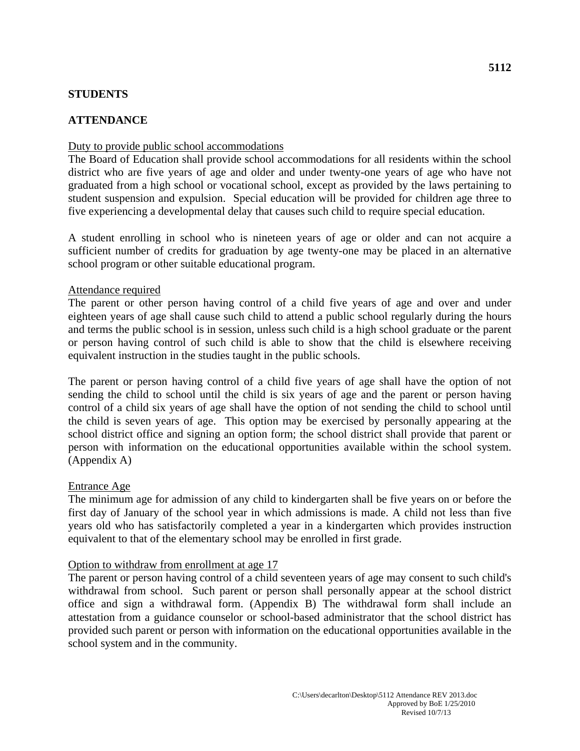# **STUDENTS**

# **ATTENDANCE**

# Duty to provide public school accommodations

The Board of Education shall provide school accommodations for all residents within the school district who are five years of age and older and under twenty-one years of age who have not graduated from a high school or vocational school, except as provided by the laws pertaining to student suspension and expulsion. Special education will be provided for children age three to five experiencing a developmental delay that causes such child to require special education.

A student enrolling in school who is nineteen years of age or older and can not acquire a sufficient number of credits for graduation by age twenty-one may be placed in an alternative school program or other suitable educational program.

#### Attendance required

The parent or other person having control of a child five years of age and over and under eighteen years of age shall cause such child to attend a public school regularly during the hours and terms the public school is in session, unless such child is a high school graduate or the parent or person having control of such child is able to show that the child is elsewhere receiving equivalent instruction in the studies taught in the public schools.

The parent or person having control of a child five years of age shall have the option of not sending the child to school until the child is six years of age and the parent or person having control of a child six years of age shall have the option of not sending the child to school until the child is seven years of age. This option may be exercised by personally appearing at the school district office and signing an option form; the school district shall provide that parent or person with information on the educational opportunities available within the school system. (Appendix A)

#### Entrance Age

The minimum age for admission of any child to kindergarten shall be five years on or before the first day of January of the school year in which admissions is made. A child not less than five years old who has satisfactorily completed a year in a kindergarten which provides instruction equivalent to that of the elementary school may be enrolled in first grade.

#### Option to withdraw from enrollment at age 17

The parent or person having control of a child seventeen years of age may consent to such child's withdrawal from school. Such parent or person shall personally appear at the school district office and sign a withdrawal form. (Appendix B) The withdrawal form shall include an attestation from a guidance counselor or school-based administrator that the school district has provided such parent or person with information on the educational opportunities available in the school system and in the community.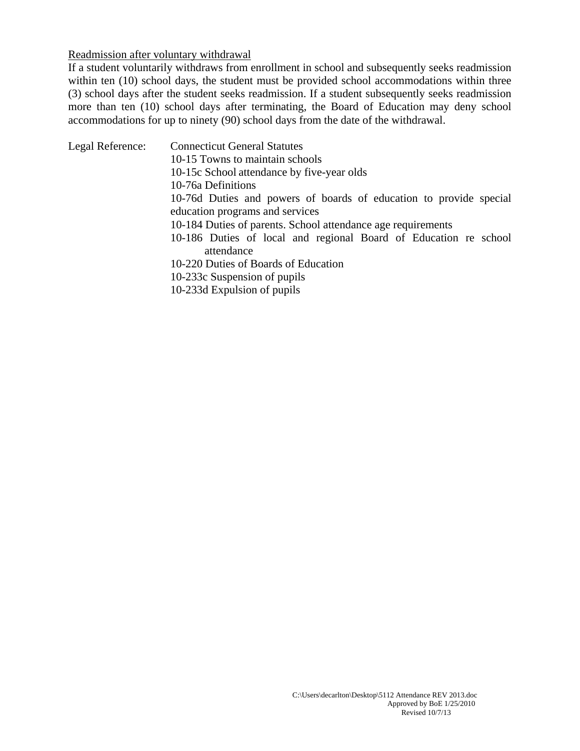#### Readmission after voluntary withdrawal

If a student voluntarily withdraws from enrollment in school and subsequently seeks readmission within ten (10) school days, the student must be provided school accommodations within three (3) school days after the student seeks readmission. If a student subsequently seeks readmission more than ten (10) school days after terminating, the Board of Education may deny school accommodations for up to ninety (90) school days from the date of the withdrawal.

Legal Reference: Connecticut General Statutes 10-15 Towns to maintain schools 10-15c School attendance by five-year olds 10-76a Definitions 10-76d Duties and powers of boards of education to provide special education programs and services 10-184 Duties of parents. School attendance age requirements 10-186 Duties of local and regional Board of Education re school attendance 10-220 Duties of Boards of Education 10-233c Suspension of pupils 10-233d Expulsion of pupils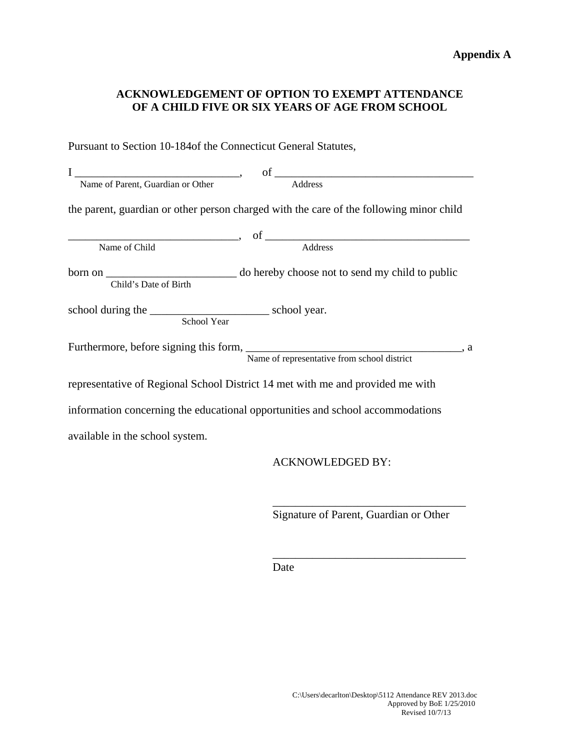# **ACKNOWLEDGEMENT OF OPTION TO EXEMPT ATTENDANCE OF A CHILD FIVE OR SIX YEARS OF AGE FROM SCHOOL**

Pursuant to Section 10-184of the Connecticut General Statutes,

| Name of Parent, Guardian or Other                                                                           | Address                                                                                 |
|-------------------------------------------------------------------------------------------------------------|-----------------------------------------------------------------------------------------|
|                                                                                                             | the parent, guardian or other person charged with the care of the following minor child |
|                                                                                                             | Name of Child<br>Name of Child Address                                                  |
|                                                                                                             |                                                                                         |
| Child's Date of Birth                                                                                       |                                                                                         |
|                                                                                                             |                                                                                         |
| Furthermore, before signing this form,<br>Name of representative from school district and $\frac{1}{2}$ , a |                                                                                         |
| representative of Regional School District 14 met with me and provided me with                              |                                                                                         |
| information concerning the educational opportunities and school accommodations                              |                                                                                         |
| available in the school system.                                                                             |                                                                                         |
|                                                                                                             | <b>ACKNOWLEDGED BY:</b>                                                                 |

Signature of Parent, Guardian or Other

\_\_\_\_\_\_\_\_\_\_\_\_\_\_\_\_\_\_\_\_\_\_\_\_\_\_\_\_\_\_\_\_\_\_

\_\_\_\_\_\_\_\_\_\_\_\_\_\_\_\_\_\_\_\_\_\_\_\_\_\_\_\_\_\_\_\_\_\_

Date Date